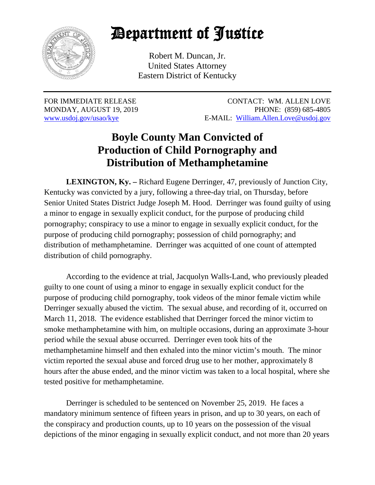

## Department of Justice

Robert M. Duncan, Jr. United States Attorney Eastern District of Kentucky

FOR IMMEDIATE RELEASE CONTACT: WM. ALLEN LOVE MONDAY, AUGUST 19, 2019 PHONE: (859) 685-4805 [www.usdoj.gov/usao/kye](http://www.usdoj.gov/usao/kye) E-MAIL: [William.Allen.Love@usdoj.gov](mailto:Kyle.Edelen@usdoj.gov)

## **Boyle County Man Convicted of Production of Child Pornography and Distribution of Methamphetamine**

**LEXINGTON, Ky. –** Richard Eugene Derringer, 47, previously of Junction City, Kentucky was convicted by a jury, following a three-day trial, on Thursday, before Senior United States District Judge Joseph M. Hood. Derringer was found guilty of using a minor to engage in sexually explicit conduct, for the purpose of producing child pornography; conspiracy to use a minor to engage in sexually explicit conduct, for the purpose of producing child pornography; possession of child pornography; and distribution of methamphetamine. Derringer was acquitted of one count of attempted distribution of child pornography.

According to the evidence at trial, Jacquolyn Walls-Land, who previously pleaded guilty to one count of using a minor to engage in sexually explicit conduct for the purpose of producing child pornography, took videos of the minor female victim while Derringer sexually abused the victim. The sexual abuse, and recording of it, occurred on March 11, 2018. The evidence established that Derringer forced the minor victim to smoke methamphetamine with him, on multiple occasions, during an approximate 3-hour period while the sexual abuse occurred. Derringer even took hits of the methamphetamine himself and then exhaled into the minor victim's mouth. The minor victim reported the sexual abuse and forced drug use to her mother, approximately 8 hours after the abuse ended, and the minor victim was taken to a local hospital, where she tested positive for methamphetamine.

Derringer is scheduled to be sentenced on November 25, 2019. He faces a mandatory minimum sentence of fifteen years in prison, and up to 30 years, on each of the conspiracy and production counts, up to 10 years on the possession of the visual depictions of the minor engaging in sexually explicit conduct, and not more than 20 years